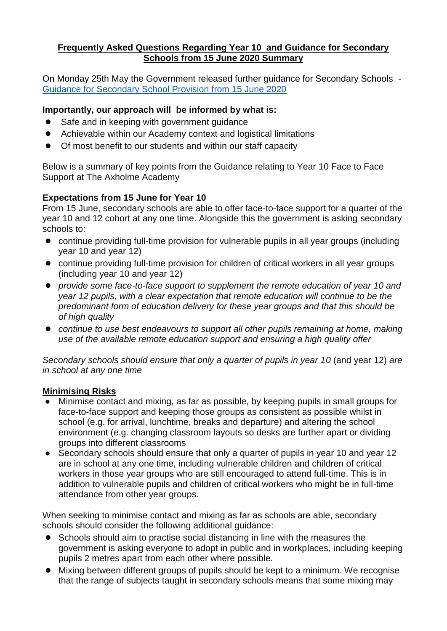## **Frequently Asked Questions Regarding Year 10 and Guidance for Secondary Schools from 15 June 2020 Summary**

On Monday 25th May the Government released further guidance for Secondary Schools - [Guidance for Secondary School Provision from 15 June 2020](https://www.gov.uk/government/publications/preparing-for-the-wider-opening-of-schools-from-1-june/planning-guide-for-secondary-schools)

# **Importantly, our approach will be informed by what is:**

- Safe and in keeping with government guidance
- Achievable within our Academy context and logistical limitations
- Of most benefit to our students and within our staff capacity

Below is a summary of key points from the Guidance relating to Year 10 Face to Face Support at The Axholme Academy

# **Expectations from 15 June for Year 10**

From 15 June, secondary schools are able to offer face-to-face support for a quarter of the year 10 and 12 cohort at any one time. Alongside this the government is asking secondary schools to:

- continue providing full-time provision for vulnerable pupils in all year groups (including year 10 and year 12)
- continue providing full-time provision for children of critical workers in all year groups (including year 10 and year 12)
- *provide some face-to-face support to supplement the remote education of year 10 and year 12 pupils, with a clear expectation that remote education will continue to be the predominant form of education delivery for these year groups and that this should be of high quality*
- *continue to use best endeavours to support all other pupils remaining at home, making use of the available remote education support and ensuring a high quality offer*

*Secondary schools should ensure that only a quarter of pupils in year 10* (and year 12) *are in school at any one time*

## **Minimising Risks**

- Minimise contact and mixing, as far as possible, by keeping pupils in small groups for face-to-face support and keeping those groups as consistent as possible whilst in school (e.g. for arrival, lunchtime, breaks and departure) and altering the school environment (e.g. changing classroom layouts so desks are further apart or dividing groups into different classrooms
- Secondary schools should ensure that only a quarter of pupils in year 10 and year 12 are in school at any one time, including vulnerable children and children of critical workers in those year groups who are still encouraged to attend full-time. This is in addition to vulnerable pupils and children of critical workers who might be in full-time attendance from other year groups.

When seeking to minimise contact and mixing as far as schools are able, secondary schools should consider the following additional guidance:

- Schools should aim to practise social distancing in line with the measures the government is asking everyone to adopt in public and in workplaces, including keeping pupils 2 metres apart from each other where possible.
- Mixing between different groups of pupils should be kept to a minimum. We recognise that the range of subjects taught in secondary schools means that some mixing may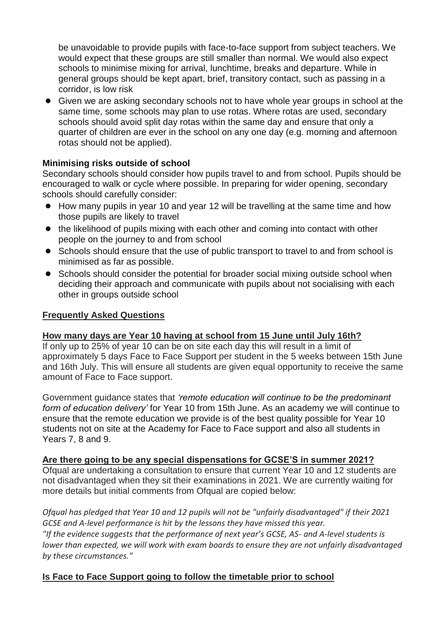be unavoidable to provide pupils with face-to-face support from subject teachers. We would expect that these groups are still smaller than normal. We would also expect schools to minimise mixing for arrival, lunchtime, breaks and departure. While in general groups should be kept apart, brief, transitory contact, such as passing in a corridor, is low risk

● Given we are asking secondary schools not to have whole year groups in school at the same time, some schools may plan to use rotas. Where rotas are used, secondary schools should avoid split day rotas within the same day and ensure that only a quarter of children are ever in the school on any one day (e.g. morning and afternoon rotas should not be applied).

## **Minimising risks outside of school**

Secondary schools should consider how pupils travel to and from school. Pupils should be encouraged to walk or cycle where possible. In preparing for wider opening, secondary schools should carefully consider:

- How many pupils in year 10 and year 12 will be travelling at the same time and how those pupils are likely to travel
- the likelihood of pupils mixing with each other and coming into contact with other people on the journey to and from school
- Schools should ensure that the use of public transport to travel to and from school is minimised as far as possible.
- Schools should consider the potential for broader social mixing outside school when deciding their approach and communicate with pupils about not socialising with each other in groups outside school

### **Frequently Asked Questions**

## **How many days are Year 10 having at school from 15 June until July 16th?**

If only up to 25% of year 10 can be on site each day this will result in a limit of approximately 5 days Face to Face Support per student in the 5 weeks between 15th June and 16th July. This will ensure all students are given equal opportunity to receive the same amount of Face to Face support.

Government guidance states that *'remote education will continue to be the predominant form of education delivery'* for Year 10 from 15th June. As an academy we will continue to ensure that the remote education we provide is of the best quality possible for Year 10 students not on site at the Academy for Face to Face support and also all students in Years 7, 8 and 9.

**Are there going to be any special dispensations for GCSE'S in summer 2021?** Ofqual are undertaking a consultation to ensure that current Year 10 and 12 students are not disadvantaged when they sit their examinations in 2021. We are currently waiting for more details but initial comments from Ofqual are copied below:

*Ofqual has pledged that Year 10 and 12 pupils will not be "unfairly disadvantaged" if their 2021 GCSE and A-level performance is hit by the lessons they have missed this year. "If the evidence suggests that the performance of next year's GCSE, AS- and A-level students is lower than expected, we will work with exam boards to ensure they are not unfairly disadvantaged by these circumstances."*

## **Is Face to Face Support going to follow the timetable prior to school**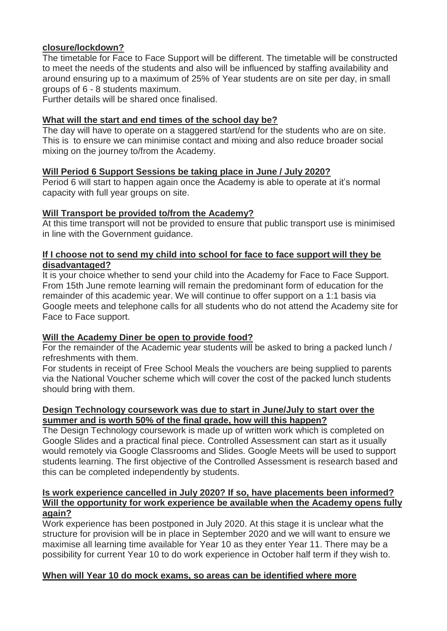### **closure/lockdown?**

The timetable for Face to Face Support will be different. The timetable will be constructed to meet the needs of the students and also will be influenced by staffing availability and around ensuring up to a maximum of 25% of Year students are on site per day, in small groups of 6 - 8 students maximum.

Further details will be shared once finalised.

### **What will the start and end times of the school day be?**

The day will have to operate on a staggered start/end for the students who are on site. This is to ensure we can minimise contact and mixing and also reduce broader social mixing on the journey to/from the Academy.

### **Will Period 6 Support Sessions be taking place in June / July 2020?**

Period 6 will start to happen again once the Academy is able to operate at it's normal capacity with full year groups on site.

### **Will Transport be provided to/from the Academy?**

At this time transport will not be provided to ensure that public transport use is minimised in line with the Government guidance.

#### **If I choose not to send my child into school for face to face support will they be disadvantaged?**

It is your choice whether to send your child into the Academy for Face to Face Support. From 15th June remote learning will remain the predominant form of education for the remainder of this academic year. We will continue to offer support on a 1:1 basis via Google meets and telephone calls for all students who do not attend the Academy site for Face to Face support.

## **Will the Academy Diner be open to provide food?**

For the remainder of the Academic year students will be asked to bring a packed lunch / refreshments with them.

For students in receipt of Free School Meals the vouchers are being supplied to parents via the National Voucher scheme which will cover the cost of the packed lunch students should bring with them.

### **Design Technology coursework was due to start in June/July to start over the summer and is worth 50% of the final grade, how will this happen?**

The Design Technology coursework is made up of written work which is completed on Google Slides and a practical final piece. Controlled Assessment can start as it usually would remotely via Google Classrooms and Slides. Google Meets will be used to support students learning. The first objective of the Controlled Assessment is research based and this can be completed independently by students.

#### **Is work experience cancelled in July 2020? If so, have placements been informed? Will the opportunity for work experience be available when the Academy opens fully again?**

Work experience has been postponed in July 2020. At this stage it is unclear what the structure for provision will be in place in September 2020 and we will want to ensure we maximise all learning time available for Year 10 as they enter Year 11. There may be a possibility for current Year 10 to do work experience in October half term if they wish to.

## **When will Year 10 do mock exams, so areas can be identified where more**